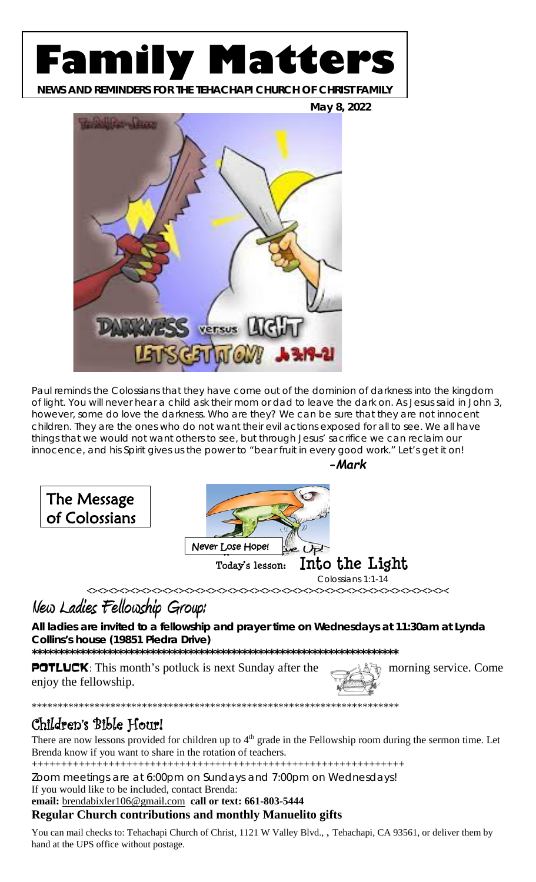# **Family Matters**

**NEWS AND REMINDERS FOR THE TEHACHAPI CHURCH OF CHRIST FAMILY**



Paul reminds the Colossians that they have come out of the dominion of darkness into the kingdom of light. You will never hear a child ask their mom or dad to leave the dark on. As Jesus said in John 3, however, some do love the darkness. Who are they? We can be sure that they are not innocent children. They are the ones who do not want their evil actions exposed for all to see. We all have things that we would not want others to see, but through Jesus' sacrifice we can reclaim our innocence, and his Spirit gives us the power to "bear fruit in every good work." Let's get it on!





## **New Ladies Fellowship Group:**

**All ladies are invited to a fellowship and prayer time on Wednesdays at 11:30am at Lynda Collins's house (19851 Piedra Drive)**

**\*\*\*\*\*\*\*\*\*\*\*\*\*\*\*\*\*\*\*\*\*\*\*\*\*\*\*\*\*\*\*\*\*\*\*\*\*\*\*\*\*\*\*\*\*\*\*\*\*\*\*\*\*\*\*\*\*\*\*\*\*\*\*\*\*\*\*\***

\*\*\*\*\*\*\*\*\*\*\*\*\*\*\*\*\*\*\*\*\*\*\*\*\*\*\*\*\*\*\*\*\*\*\*\*\*\*\*\*\*\*\*\*\*\*\*\*\*\*\*\*\*\*\*\*\*\*\*\*\*\*\*\*\*\*\*\*\*\*

**POTLUCK**: This month's potluck is next Sunday after the morning service. Come enjoy the fellowship.



## Children's Bible Hour!

There are now lessons provided for children up to 4<sup>th</sup> grade in the Fellowship room during the sermon time. Let Brenda know if you want to share in the rotation of teachers.

+++++++++++++++++++++++++++++++++++++++++++++++++++++++++++++++

Zoom meetings are at 6:00pm on Sundays and 7:00pm on Wednesdays!

If you would like to be included, contact Brenda:

**email:** [brendabixler106@gmail.com](mailto:brendabixler106@gmail.com) **call or text: 661-803-5444**

**Regular Church contributions and monthly Manuelito gifts**

You can mail checks to: Tehachapi Church of Christ, 1121 W Valley Blvd., , Tehachapi, CA 93561, or deliver them by hand at the UPS office without postage.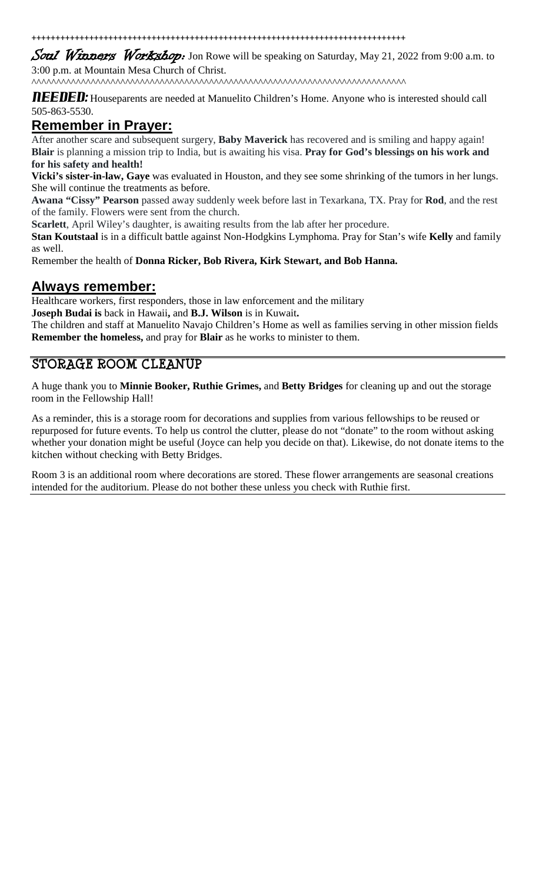++++++++++++++++++++++++++++++++++++++++++++++++++++++++++++++++++++++++++++++

Soul Winners Workshop: Jon Rowe will be speaking on Saturday, May 21, 2022 from 9:00 a.m. to 3:00 p.m. at Mountain Mesa Church of Christ.

^^^^^^^^^^^^^^^^^^^^^^^^^^^^^^^^^^^^^^^^^^^^^^^^^^^^^^^^^^^^^^^^^^^^^^^^^^^^

**NEEDED:** Houseparents are needed at Manuelito Children's Home. Anyone who is interested should call 505-863-5530.

#### **Remember in Prayer:**

After another scare and subsequent surgery, **Baby Maverick** has recovered and is smiling and happy again! **Blair** is planning a mission trip to India, but is awaiting his visa. **Pray for God's blessings on his work and for his safety and health!**

**Vicki's sister-in-law, Gaye** was evaluated in Houston, and they see some shrinking of the tumors in her lungs. She will continue the treatments as before.

**Awana "Cissy" Pearson** passed away suddenly week before last in Texarkana, TX. Pray for **Rod**, and the rest of the family. Flowers were sent from the church.

**Scarlett**, April Wiley's daughter, is awaiting results from the lab after her procedure.

**Stan Koutstaal** is in a difficult battle against Non-Hodgkins Lymphoma. Pray for Stan's wife **Kelly** and family as well.

Remember the health of **Donna Ricker, Bob Rivera, Kirk Stewart, and Bob Hanna.**

#### **Always remember:**

Healthcare workers, first responders, those in law enforcement and the military

**Joseph Budai is** back in Hawaii**,** and **B.J. Wilson** is in Kuwait**.**

The children and staff at Manuelito Navajo Children's Home as well as families serving in other mission fields **Remember the homeless,** and pray for **Blair** as he works to minister to them.

### **STORAGE ROOM CLEANUP**

A huge thank you to **Minnie Booker, Ruthie Grimes,** and **Betty Bridges** for cleaning up and out the storage room in the Fellowship Hall!

As a reminder, this is a storage room for decorations and supplies from various fellowships to be reused or repurposed for future events. To help us control the clutter, please do not "donate" to the room without asking whether your donation might be useful (Joyce can help you decide on that). Likewise, do not donate items to the kitchen without checking with Betty Bridges.

Room 3 is an additional room where decorations are stored. These flower arrangements are seasonal creations intended for the auditorium. Please do not bother these unless you check with Ruthie first.